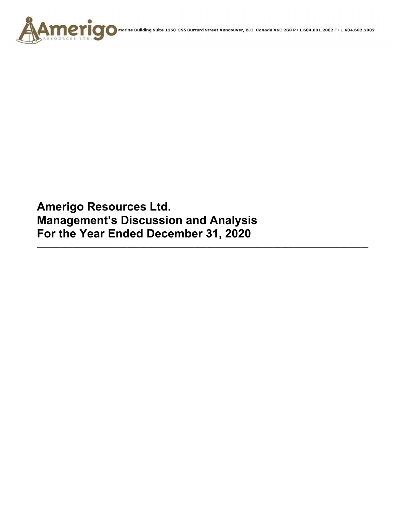

**Amerigo Resources Ltd. Management's Discussion and Analysis For the Year Ended December 31, 2020** 

**\_\_\_\_\_\_\_\_\_\_\_\_\_\_\_\_\_\_\_\_\_\_\_\_\_\_\_\_\_\_\_\_\_\_\_\_\_\_\_\_\_\_\_\_\_\_\_\_\_\_\_\_\_\_\_\_\_\_\_\_\_\_\_\_\_\_\_\_\_\_\_\_\_\_\_\_\_\_\_\_\_\_\_\_**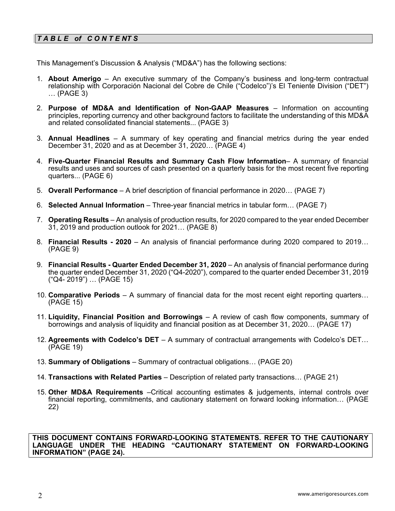## *T A B L E of C O N T E NT S*

This Management's Discussion & Analysis ("MD&A") has the following sections:

- 1. **About Amerigo**  An executive summary of the Company's business and long-term contractual relationship with Corporación Nacional del Cobre de Chile ("Codelco")'s El Teniente Division ("DET") … (PAGE 3)
- 2. **Purpose of MD&A and Identification of Non-GAAP Measures**  Information on accounting principles, reporting currency and other background factors to facilitate the understanding of this MD&A and related consolidated financial statements... (PAGE 3)
- 3. **Annual Headlines** A summary of key operating and financial metrics during the year ended December 31, 2020 and as at December 31, 2020… (PAGE 4)
- 4. **Five-Quarter Financial Results and Summary Cash Flow Information** A summary of financial results and uses and sources of cash presented on a quarterly basis for the most recent five reporting quarters... (PAGE 6)
- 5. **Overall Performance** A brief description of financial performance in 2020… (PAGE 7)
- 6. **Selected Annual Information** Three-year financial metrics in tabular form… (PAGE 7)
- 7. **Operating Results** An analysis of production results, for 2020 compared to the year ended December 31, 2019 and production outlook for 2021… (PAGE 8)
- 8. **Financial Results 2020** An analysis of financial performance during 2020 compared to 2019… (PAGE 9)
- 9. **Financial Results Quarter Ended December 31, 2020** An analysis of financial performance during the quarter ended December 31, 2020 ("Q4-2020"), compared to the quarter ended December 31, 2019 ("Q4- 2019") … (PAGE 15)
- 10. **Comparative Periods** A summary of financial data for the most recent eight reporting quarters… (PAGE 15)
- 11. **Liquidity, Financial Position and Borrowings** A review of cash flow components, summary of borrowings and analysis of liquidity and financial position as at December 31, 2020… (PAGE 17)
- 12. **Agreements with Codelco's DET** A summary of contractual arrangements with Codelco's DET… (PAGE 19)
- 13. **Summary of Obligations**  Summary of contractual obligations… (PAGE 20)
- 14. **Transactions with Related Parties** Description of related party transactions… (PAGE 21)
- 15. **Other MD&A Requirements** –Critical accounting estimates & judgements, internal controls over financial reporting, commitments, and cautionary statement on forward looking information… (PAGE 22)

#### **THIS DOCUMENT CONTAINS FORWARD-LOOKING STATEMENTS. REFER TO THE CAUTIONARY LANGUAGE UNDER THE HEADING "CAUTIONARY STATEMENT ON FORWARD-LOOKING INFORMATION" (PAGE 24).**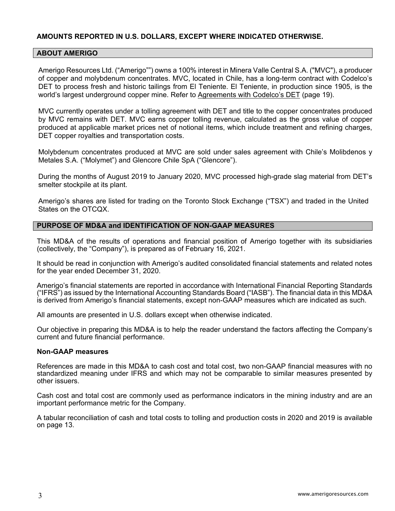## **AMOUNTS REPORTED IN U.S. DOLLARS, EXCEPT WHERE INDICATED OTHERWISE.**

#### **ABOUT AMERIGO**

Amerigo Resources Ltd. ("Amerigo"") owns a 100% interest in Minera Valle Central S.A. ("MVC"), a producer of copper and molybdenum concentrates. MVC, located in Chile, has a long-term contract with Codelco's DET to process fresh and historic tailings from El Teniente. El Teniente, in production since 1905, is the world's largest underground copper mine. Refer to Agreements with Codelco's DET (page 19).

MVC currently operates under a tolling agreement with DET and title to the copper concentrates produced by MVC remains with DET. MVC earns copper tolling revenue, calculated as the gross value of copper produced at applicable market prices net of notional items, which include treatment and refining charges, DET copper royalties and transportation costs.

Molybdenum concentrates produced at MVC are sold under sales agreement with Chile's Molibdenos y Metales S.A. ("Molymet") and Glencore Chile SpA ("Glencore").

During the months of August 2019 to January 2020, MVC processed high-grade slag material from DET's smelter stockpile at its plant.

Amerigo's shares are listed for trading on the Toronto Stock Exchange ("TSX") and traded in the United States on the OTCQX.

#### **PURPOSE OF MD&A and IDENTIFICATION OF NON-GAAP MEASURES**

This MD&A of the results of operations and financial position of Amerigo together with its subsidiaries (collectively, the "Company"), is prepared as of February 16, 2021.

It should be read in conjunction with Amerigo's audited consolidated financial statements and related notes for the year ended December 31, 2020.

Amerigo's financial statements are reported in accordance with International Financial Reporting Standards ("IFRS") as issued by the International Accounting Standards Board ("IASB"). The financial data in this MD&A is derived from Amerigo's financial statements, except non-GAAP measures which are indicated as such.

All amounts are presented in U.S. dollars except when otherwise indicated.

Our objective in preparing this MD&A is to help the reader understand the factors affecting the Company's current and future financial performance.

#### **Non-GAAP measures**

References are made in this MD&A to cash cost and total cost, two non-GAAP financial measures with no standardized meaning under IFRS and which may not be comparable to similar measures presented by other issuers.

Cash cost and total cost are commonly used as performance indicators in the mining industry and are an important performance metric for the Company.

A tabular reconciliation of cash and total costs to tolling and production costs in 2020 and 2019 is available on page 13.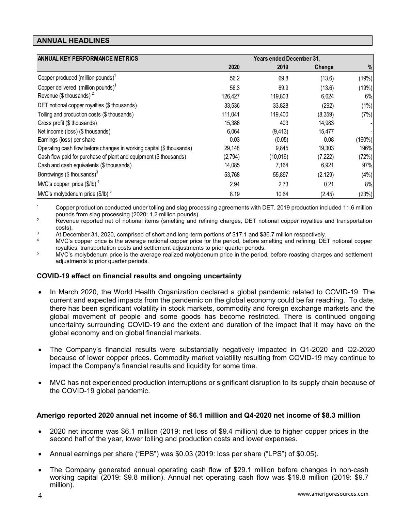## **ANNUAL HEADLINES**

| <b>ANNUAL KEY PERFORMANCE METRICS</b>                                | Years ended December 31, |           |          |         |
|----------------------------------------------------------------------|--------------------------|-----------|----------|---------|
|                                                                      | 2020                     | 2019      | Change   | %       |
| Copper produced (million pounds) <sup>1</sup>                        | 56.2                     | 69.8      | (13.6)   | (19%)   |
| Copper delivered (million pounds) <sup>1</sup>                       | 56.3                     | 69.9      | (13.6)   | (19%)   |
| Revenue (\$ thousands) $^2$                                          | 126,427                  | 119,803   | 6,624    | 6%      |
| <b>IDET</b> notional copper royalties (\$ thousands)                 | 33,536                   | 33,828    | (292)    | $(1\%)$ |
| Tolling and production costs (\$ thousands)                          | 111,041                  | 119,400   | (8,359)  | (7%)    |
| Gross profit (\$ thousands)                                          | 15,386                   | 403       | 14,983   |         |
| Net income (loss) (\$ thousands)                                     | 6,064                    | (9, 413)  | 15,477   |         |
| Earnings (loss) per share                                            | 0.03                     | (0.05)    | 0.08     | (160%)  |
| Operating cash flow before changes in working capital (\$ thousands) | 29,148                   | 9,845     | 19,303   | 196%    |
| Cash flow paid for purchase of plant and equipment (\$ thousands)    | (2,794)                  | (10, 016) | (7, 222) | (72%)   |
| Cash and cash equivalents (\$ thousands)                             | 14,085                   | 7,164     | 6,921    | 97%     |
| Borrowings (\$ thousands) $3$                                        | 53,768                   | 55,897    | (2, 129) | (4%)    |
| M/C's copper price (\$/lb) <sup>4</sup>                              | 2.94                     | 2.73      | 0.21     | 8%      |
| MVC's molybdenum price (\$/lb) <sup>5</sup>                          | 8.19                     | 10.64     | (2.45)   | (23%)   |

1 Copper production conducted under tolling and slag processing agreements with DET. 2019 production included 11.6 million pounds from slag processing (2020: 1.2 million pounds).<br><sup>2</sup> Revenue reported net of notional items (smelting and refining charges, DET notional copper royalties and transportation

costs).<br>3 At December 31, 2020, comprised of short and long-term portions of \$17.1 and \$36.7 million respectively.<br>4 MVC's copper price is the average notional copper price for the period, before smelting and refining, DET

royalties, transportation costs and settlement adjustments to prior quarter periods.<br><sup>5</sup> MVC's molybdenum price is the average realized molybdenum price in the period, before roasting charges and settlement

adjustments to prior quarter periods.

## **COVID-19 effect on financial results and ongoing uncertainty**

- In March 2020, the World Health Organization declared a global pandemic related to COVID-19. The current and expected impacts from the pandemic on the global economy could be far reaching. To date, there has been significant volatility in stock markets, commodity and foreign exchange markets and the global movement of people and some goods has become restricted. There is continued ongoing uncertainty surrounding COVID-19 and the extent and duration of the impact that it may have on the global economy and on global financial markets.
- The Company's financial results were substantially negatively impacted in Q1-2020 and Q2-2020 because of lower copper prices. Commodity market volatility resulting from COVID-19 may continue to impact the Company's financial results and liquidity for some time.
- MVC has not experienced production interruptions or significant disruption to its supply chain because of the COVID-19 global pandemic.

## **Amerigo reported 2020 annual net income of \$6.1 million and Q4-2020 net income of \$8.3 million**

- 2020 net income was \$6.1 million (2019: net loss of \$9.4 million) due to higher copper prices in the second half of the year, lower tolling and production costs and lower expenses.
- Annual earnings per share ("EPS") was \$0.03 (2019: loss per share ("LPS") of \$0.05).
- The Company generated annual operating cash flow of \$29.1 million before changes in non-cash working capital (2019: \$9.8 million). Annual net operating cash flow was \$19.8 million (2019: \$9.7 million).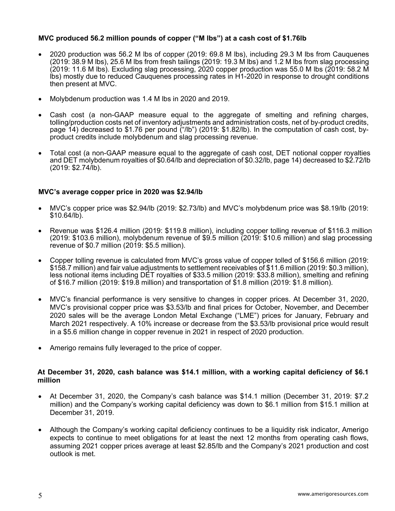## **MVC produced 56.2 million pounds of copper ("M lbs") at a cash cost of \$1.76lb**

- 2020 production was 56.2 M lbs of copper (2019: 69.8 M lbs), including 29.3 M lbs from Cauquenes (2019: 38.9 M lbs), 25.6 M lbs from fresh tailings (2019: 19.3 M lbs) and 1.2 M lbs from slag processing (2019: 11.6 M lbs). Excluding slag processing, 2020 copper production was 55.0 M lbs (2019: 58.2 M lbs) mostly due to reduced Cauquenes processing rates in H1-2020 in response to drought conditions then present at MVC.
- Molybdenum production was 1.4 M lbs in 2020 and 2019.
- Cash cost (a non-GAAP measure equal to the aggregate of smelting and refining charges, tolling/production costs net of inventory adjustments and administration costs, net of by-product credits, page 14) decreased to \$1.76 per pound ("/lb") (2019: \$1.82/lb). In the computation of cash cost, byproduct credits include molybdenum and slag processing revenue.
- Total cost (a non-GAAP measure equal to the aggregate of cash cost, DET notional copper royalties and DET molybdenum royalties of \$0.64/lb and depreciation of \$0.32/lb, page 14) decreased to \$2.72/lb (2019: \$2.74/lb).

## **MVC's average copper price in 2020 was \$2.94/lb**

- MVC's copper price was \$2.94/lb (2019: \$2.73/lb) and MVC's molybdenum price was \$8.19/lb (2019: \$10.64/lb).
- Revenue was \$126.4 million (2019: \$119.8 million), including copper tolling revenue of \$116.3 million (2019: \$103.6 million), molybdenum revenue of \$9.5 million (2019: \$10.6 million) and slag processing revenue of \$0.7 million (2019: \$5.5 million).
- Copper tolling revenue is calculated from MVC's gross value of copper tolled of \$156.6 million (2019: \$158.7 million) and fair value adjustments to settlement receivables of \$11.6 million (2019: \$0.3 million), less notional items including DET royalties of \$33.5 million (2019: \$33.8 million), smelting and refining of \$16.7 million (2019: \$19.8 million) and transportation of \$1.8 million (2019: \$1.8 million).
- MVC's financial performance is very sensitive to changes in copper prices. At December 31, 2020, MVC's provisional copper price was \$3.53/lb and final prices for October, November, and December 2020 sales will be the average London Metal Exchange ("LME") prices for January, February and March 2021 respectively. A 10% increase or decrease from the \$3.53/lb provisional price would result in a \$5.6 million change in copper revenue in 2021 in respect of 2020 production.
- Amerigo remains fully leveraged to the price of copper.

## **At December 31, 2020, cash balance was \$14.1 million, with a working capital deficiency of \$6.1 million**

- At December 31, 2020, the Company's cash balance was \$14.1 million (December 31, 2019: \$7.2 million) and the Company's working capital deficiency was down to \$6.1 million from \$15.1 million at December 31, 2019.
- Although the Company's working capital deficiency continues to be a liquidity risk indicator, Amerigo expects to continue to meet obligations for at least the next 12 months from operating cash flows, assuming 2021 copper prices average at least \$2.85/lb and the Company's 2021 production and cost outlook is met.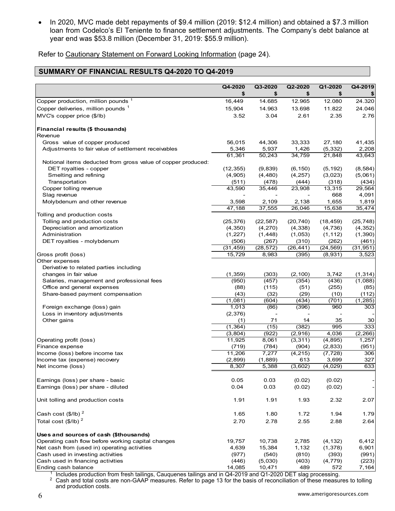• In 2020, MVC made debt repayments of \$9.4 million (2019: \$12.4 million) and obtained a \$7.3 million loan from Codelco's El Teniente to finance settlement adjustments. The Company's debt balance at year end was \$53.8 million (December 31, 2019: \$55.9 million).

Refer to Cautionary Statement on Forward Looking Information (page 24).

## **SUMMARY OF FINANCIAL RESULTS Q4-2020 TO Q4-2019**

|                                                              | Q4-2020   | Q3-2020   | Q2-2020   | Q1-2020   | Q4-2019                  |
|--------------------------------------------------------------|-----------|-----------|-----------|-----------|--------------------------|
|                                                              | \$        | \$        | \$        | \$        | \$                       |
| Copper production, million pounds 1                          | 16,449    | 14.685    | 12.965    | 12.080    | 24.320                   |
| Copper deliveries, million pounds 1                          | 15,904    | 14.963    | 13.698    | 11.822    | 24.046                   |
| MVC's copper price (\$/lb)                                   | 3.52      | 3.04      | 2.61      | 2.35      | 2.76                     |
| Financial results (\$ thousands)                             |           |           |           |           |                          |
| Revenue                                                      |           |           |           |           |                          |
| Gross value of copper produced                               | 56,015    | 44,306    | 33,333    | 27,180    | 41,435                   |
| Adjustments to fair value of settlement receivables          | 5,346     | 5,937     | 1,426     | (5, 332)  | 2,208                    |
|                                                              | 61,361    | 50,243    | 34,759    | 21,848    | 43,643                   |
| Notional items deducted from gross value of copper produced: |           |           |           |           |                          |
| DET royalties - copper                                       | (12, 355) | (9,839)   | (6, 150)  | (5, 192)  | (8, 584)                 |
| Smelting and refining                                        | (4,905)   | (4, 480)  | (4, 257)  | (3,023)   | (5,061)                  |
| Transportation                                               | (511)     | (478)     | (444)     | (318)     | (434)                    |
| Copper tolling revenue                                       | 43,590    | 35,446    | 23,908    | 13,315    | 29,564                   |
| Slag revenue                                                 |           |           |           | 668       | 4,091                    |
| Molybdenum and other revenue                                 | 3,598     | 2,109     | 2,138     | 1,655     | 1,819                    |
|                                                              | 47,188    | 37,555    | 26,046    | 15,638    | 35,474                   |
| Tolling and production costs                                 |           |           |           |           |                          |
| Tolling and production costs                                 | (25, 376) | (22, 587) | (20, 740) | (18, 459) | (25, 748)                |
| Depreciation and amortization                                | (4, 350)  | (4, 270)  | (4, 338)  | (4,736)   | (4, 352)                 |
| Administration                                               | (1, 227)  | (1, 448)  | (1,053)   | (1, 112)  | (1, 390)                 |
| DET royalties - molybdenum                                   | (506)     | (267)     | (310)     | (262)     | (461)                    |
|                                                              | (31, 459) | (28, 572) | (26, 441) | (24, 569) | (31, 951)                |
| Gross profit (loss)                                          | 15,729    | 8,983     | (395)     | (8,931)   | 3,523                    |
| Other expenses                                               |           |           |           |           |                          |
| Derivative to related parties including                      |           |           |           |           |                          |
| changes in fair value                                        | (1, 359)  | (303)     | (2, 100)  | 3,742     | (1, 314)                 |
| Salaries, management and professional fees                   | (950)     | (457)     | (354)     | (436)     | (1,088)                  |
| Office and general expenses                                  | (88)      | (115)     | (51)      | (255)     | (85)                     |
| Share-based payment compensation                             | (43)      | (32)      | (29)      | (10)      | (112)                    |
|                                                              | (1,081)   | (604)     | (434)     | (701)     | (1, 285)                 |
| Foreign exchange (loss) gain                                 | 1,013     | (86)      | (396)     | 960       | 303                      |
| Loss in inventory adjustments                                | (2,376)   |           |           |           |                          |
| Other gains                                                  | (1)       | 71        | 14        | 35        | 30                       |
|                                                              | (1, 364)  | (15)      | (382)     | 995       | 333                      |
|                                                              | (3,804)   | (922)     | (2,916)   | 4,036     | (2, 266)                 |
| Operating profit (loss)                                      | 11,925    | 8,061     | (3, 311)  | (4, 895)  | 1,257                    |
| Finance expense                                              | (719)     | (784)     | (904)     | (2, 833)  | (951)                    |
| Income (loss) before income tax                              | 11,206    | 7,277     | (4, 215)  | (7, 728)  | 306                      |
| Income tax (expense) recovery                                | (2,899)   | (1,889)   | 613       | 3,699     | 327                      |
| Net income (loss)                                            | 8,307     | 5,388     | (3,602)   | (4,029)   | 633                      |
|                                                              |           |           |           |           |                          |
| Earnings (loss) per share - basic                            | 0.05      | 0.03      | (0.02)    | (0.02)    |                          |
| Earnings (loss) per share - diluted                          | 0.04      | 0.03      | (0.02)    | (0.02)    | $\overline{\phantom{a}}$ |
| Unit tolling and production costs                            | 1.91      | 1.91      | 1.93      | 2.32      | 2.07                     |
| Cash cost $(\$/IB)^2$                                        | 1.65      | 1.80      | 1.72      | 1.94      | 1.79                     |
| Total cost $($/lb)^2$                                        | 2.70      | 2.78      | 2.55      | 2.88      | 2.64                     |
| Uses and sources of cash (\$thousands)                       |           |           |           |           |                          |
| Operating cash flow before working capital changes           | 19,757    | 10,738    | 2,785     | (4, 132)  | 6,412                    |
| Net cash from (used in) operating activities                 | 4,639     | 15,384    | 1,132     | (1, 378)  | 6,901                    |
| Cash used in investing activities                            | (977)     | (540)     | (810)     | (393)     | (991)                    |
| Cash used in financing activities                            | (446)     | (5,030)   | (403)     | (4, 779)  | (223)                    |
| Ending cash balance                                          | 14,085    | 10,471    | 489       | 572       | 7,164                    |

<sup>1</sup> Includes production from fresh tailings, Cauquenes tailings and in Q4-2019 and Q1-2020 DET slag processing.

<sup>2</sup> Cash and total costs are non-GAAP measures. Refer to page 13 for the basis of reconciliation of these measures to tolling and production costs.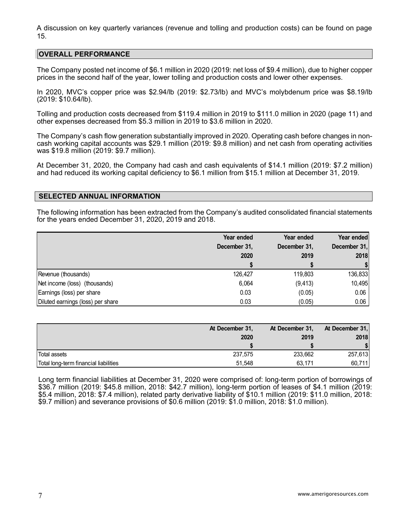A discussion on key quarterly variances (revenue and tolling and production costs) can be found on page 15.

### **OVERALL PERFORMANCE**

The Company posted net income of \$6.1 million in 2020 (2019: net loss of \$9.4 million), due to higher copper prices in the second half of the year, lower tolling and production costs and lower other expenses.

In 2020, MVC's copper price was \$2.94/lb (2019: \$2.73/lb) and MVC's molybdenum price was \$8.19/lb (2019: \$10.64/lb).

Tolling and production costs decreased from \$119.4 million in 2019 to \$111.0 million in 2020 (page 11) and other expenses decreased from \$5.3 million in 2019 to \$3.6 million in 2020.

The Company's cash flow generation substantially improved in 2020. Operating cash before changes in noncash working capital accounts was \$29.1 million (2019: \$9.8 million) and net cash from operating activities was \$19.8 million (2019: \$9.7 million).

At December 31, 2020, the Company had cash and cash equivalents of \$14.1 million (2019: \$7.2 million) and had reduced its working capital deficiency to \$6.1 million from \$15.1 million at December 31, 2019.

#### **SELECTED ANNUAL INFORMATION**

The following information has been extracted from the Company's audited consolidated financial statements for the years ended December 31, 2020, 2019 and 2018.

|                                   | Year ended<br>December 31,<br>2020 | Year ended<br>December 31,<br>2019 | Year ended<br>December 31,<br>2018 |
|-----------------------------------|------------------------------------|------------------------------------|------------------------------------|
| Revenue (thousands)               | 126,427                            | 119,803                            | 136,833                            |
| Net income (loss) (thousands)     | 6,064                              | (9, 413)                           | 10,495                             |
| Earnings (loss) per share         | 0.03                               | (0.05)                             | 0.06                               |
| Diluted earnings (loss) per share | 0.03                               | (0.05)                             | 0.06                               |

|                                       | At December 31, | At December 31, | At December 31, |
|---------------------------------------|-----------------|-----------------|-----------------|
|                                       | 2020            | 2019            | 2018            |
|                                       |                 |                 |                 |
| Total assets                          | 237.575         | 233.662         | 257,613         |
| Total long-term financial liabilities | 51,548          | 63,171          | 60,711          |

Long term financial liabilities at December 31, 2020 were comprised of: long-term portion of borrowings of \$36.7 million (2019: \$45.8 million, 2018: \$42.7 million), long-term portion of leases of \$4.1 million (2019: \$5.4 million, 2018: \$7.4 million), related party derivative liability of \$10.1 million (2019: \$11.0 million, 2018: \$9.7 million) and severance provisions of \$0.6 million (2019: \$1.0 million, 2018: \$1.0 million).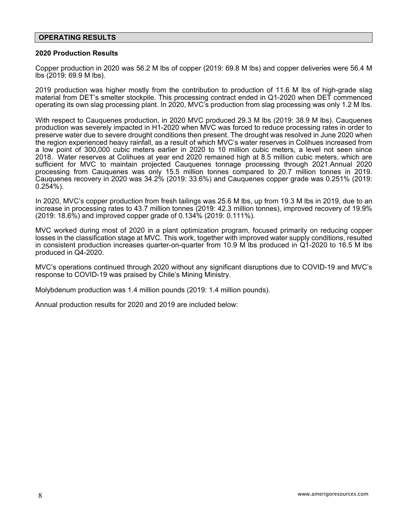## **OPERATING RESULTS**

### **2020 Production Results**

Copper production in 2020 was 56.2 M lbs of copper (2019: 69.8 M lbs) and copper deliveries were 56.4 M lbs (2019: 69.9 M lbs).

2019 production was higher mostly from the contribution to production of 11.6 M lbs of high-grade slag material from DET's smelter stockpile. This processing contract ended in Q1-2020 when DET commenced operating its own slag processing plant. In 2020, MVC's production from slag processing was only 1.2 M lbs.

With respect to Cauquenes production, in 2020 MVC produced 29.3 M lbs (2019: 38.9 M lbs). Cauquenes production was severely impacted in H1-2020 when MVC was forced to reduce processing rates in order to preserve water due to severe drought conditions then present. The drought was resolved in June 2020 when the region experienced heavy rainfall, as a result of which MVC's water reserves in Colihues increased from a low point of 300,000 cubic meters earlier in 2020 to 10 million cubic meters, a level not seen since 2018. Water reserves at Colihues at year end 2020 remained high at 8.5 million cubic meters, which are sufficient for MVC to maintain projected Cauquenes tonnage processing through 2021.Annual 2020 processing from Cauquenes was only 15.5 million tonnes compared to 20.7 million tonnes in 2019. Cauquenes recovery in 2020 was 34.2% (2019: 33.6%) and Cauquenes copper grade was 0.251% (2019: 0.254%).

In 2020, MVC's copper production from fresh tailings was 25.6 M lbs, up from 19.3 M lbs in 2019, due to an increase in processing rates to 43.7 million tonnes (2019: 42.3 million tonnes), improved recovery of 19.9% (2019: 18.6%) and improved copper grade of 0.134% (2019: 0.111%).

MVC worked during most of 2020 in a plant optimization program, focused primarily on reducing copper losses in the classification stage at MVC. This work, together with improved water supply conditions, resulted in consistent production increases quarter-on-quarter from 10.9 M lbs produced in Q1-2020 to 16.5 M lbs produced in Q4-2020.

MVC's operations continued through 2020 without any significant disruptions due to COVID-19 and MVC's response to COVID-19 was praised by Chile's Mining Ministry.

Molybdenum production was 1.4 million pounds (2019: 1.4 million pounds).

Annual production results for 2020 and 2019 are included below: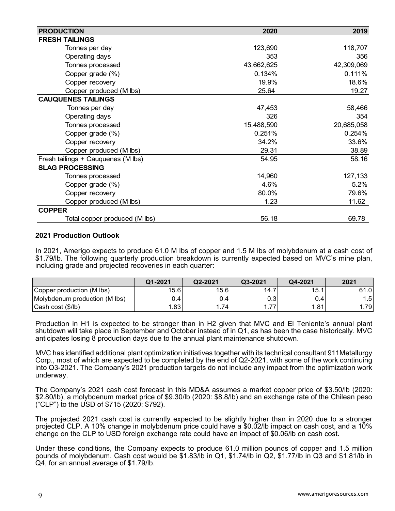| <b>PRODUCTION</b>                  | 2020       | 2019       |
|------------------------------------|------------|------------|
| <b>FRESH TAILINGS</b>              |            |            |
| Tonnes per day                     | 123,690    | 118,707    |
| Operating days                     | 353        | 356        |
| Tonnes processed                   | 43,662,625 | 42,309,069 |
| Copper grade (%)                   | 0.134%     | 0.111%     |
| Copper recovery                    | 19.9%      | 18.6%      |
| Copper produced (M lbs)            | 25.64      | 19.27      |
| <b>CAUQUENES TAILINGS</b>          |            |            |
| Tonnes per day                     | 47,453     | 58,466     |
| Operating days                     | 326        | 354        |
| Tonnes processed                   | 15,488,590 | 20,685,058 |
| Copper grade (%)                   | 0.251%     | 0.254%     |
| Copper recovery                    | 34.2%      | 33.6%      |
| Copper produced (M lbs)            | 29.31      | 38.89      |
| Fresh tailings + Cauquenes (M lbs) | 54.95      | 58.16      |
| <b>SLAG PROCESSING</b>             |            |            |
| Tonnes processed                   | 14,960     | 127,133    |
| Copper grade (%)                   | 4.6%       | 5.2%       |
| Copper recovery                    | 80.0%      | 79.6%      |
| Copper produced (M lbs)            | 1.23       | 11.62      |
| <b>COPPER</b>                      |            |            |
| Total copper produced (M lbs)      | 56.18      | 69.78      |

## **2021 Production Outlook**

In 2021, Amerigo expects to produce 61.0 M lbs of copper and 1.5 M lbs of molybdenum at a cash cost of \$1.79/lb. The following quarterly production breakdown is currently expected based on MVC's mine plan, including grade and projected recoveries in each quarter:

|                               | Q1-2021 | Q2-2021 | Q3-2021        | Q4-2021 | 2021            |
|-------------------------------|---------|---------|----------------|---------|-----------------|
| Copper production (M lbs)     | 15.6    | 15.6    | 14.7           | 15.1    | 61.0I           |
| Molybdenum production (M lbs) | 0.4     | 0.4     | 0.3            | 0.41    | .5 <sub>1</sub> |
| Cash cost (\$/lb)             | .83     | 74      | $\overline{ }$ | .81     | . 791           |

Production in H1 is expected to be stronger than in H2 given that MVC and El Teniente's annual plant shutdown will take place in September and October instead of in Q1, as has been the case historically. MVC anticipates losing 8 production days due to the annual plant maintenance shutdown.

MVC has identified additional plant optimization initiatives together with its technical consultant 911Metallurgy Corp., most of which are expected to be completed by the end of Q2-2021, with some of the work continuing into Q3-2021. The Company's 2021 production targets do not include any impact from the optimization work underway.

The Company's 2021 cash cost forecast in this MD&A assumes a market copper price of \$3.50/lb (2020: \$2.80/lb), a molybdenum market price of \$9.30/lb (2020: \$8.8/lb) and an exchange rate of the Chilean peso ("CLP") to the USD of \$715 (2020: \$792).

The projected 2021 cash cost is currently expected to be slightly higher than in 2020 due to a stronger projected CLP. A 10% change in molybdenum price could have a \$0.02/lb impact on cash cost, and a 10% change on the CLP to USD foreign exchange rate could have an impact of \$0.06/lb on cash cost.

Under these conditions, the Company expects to produce 61.0 million pounds of copper and 1.5 million pounds of molybdenum. Cash cost would be \$1.83/lb in Q1, \$1.74/lb in Q2, \$1.77/lb in Q3 and \$1.81/lb in Q4, for an annual average of \$1.79/lb.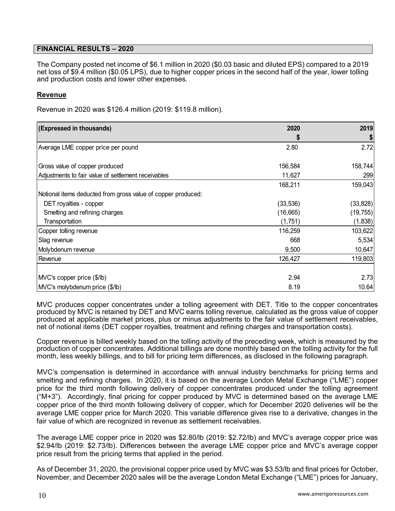## **FINANCIAL RESULTS – 2020**

The Company posted net income of \$6.1 million in 2020 (\$0.03 basic and diluted EPS) compared to a 2019 net loss of \$9.4 million (\$0.05 LPS), due to higher copper prices in the second half of the year, lower tolling and production costs and lower other expenses.

### **Revenue**

Revenue in 2020 was \$126.4 million (2019: \$119.8 million).

| (Expressed in thousands)                                     | 2020      | 2019      |
|--------------------------------------------------------------|-----------|-----------|
|                                                              | \$        | \$        |
| Average LME copper price per pound                           | 2.80      | 2.72      |
|                                                              |           |           |
| Gross value of copper produced                               | 156,584   | 158,744   |
| Adjustments to fair value of settlement receivables          | 11,627    | 299       |
|                                                              | 168,211   | 159,043   |
| Notional items deducted from gross value of copper produced: |           |           |
| DET royalties - copper                                       | (33, 536) | (33, 828) |
| Smelting and refining charges                                | (16, 665) | (19, 755) |
| Transportation                                               | (1,751)   | (1,838)   |
| Copper tolling revenue                                       | 116,259   | 103,622   |
| Slag revenue                                                 | 668       | 5,534     |
| Molybdenum revenue                                           | 9,500     | 10,647    |
| Revenue                                                      | 126,427   | 119,803   |
|                                                              |           |           |
| MVC's copper price (\$/lb)                                   | 2.94      | 2.73      |
| MVC's molybdenum price (\$/lb)                               | 8.19      | 10.64     |

MVC produces copper concentrates under a tolling agreement with DET. Title to the copper concentrates produced by MVC is retained by DET and MVC earns tolling revenue, calculated as the gross value of copper produced at applicable market prices, plus or minus adjustments to the fair value of settlement receivables, net of notional items (DET copper royalties, treatment and refining charges and transportation costs).

Copper revenue is billed weekly based on the tolling activity of the preceding week, which is measured by the production of copper concentrates. Additional billings are done monthly based on the tolling activity for the full month, less weekly billings, and to bill for pricing term differences, as disclosed in the following paragraph.

MVC's compensation is determined in accordance with annual industry benchmarks for pricing terms and smelting and refining charges. In 2020, it is based on the average London Metal Exchange ("LME") copper price for the third month following delivery of copper concentrates produced under the tolling agreement  $("M+3")$ . Accordingly, final pricing for copper produced by MVC is determined based on the average LME copper price of the third month following delivery of copper, which for December 2020 deliveries will be the average LME copper price for March 2020. This variable difference gives rise to a derivative, changes in the fair value of which are recognized in revenue as settlement receivables.

The average LME copper price in 2020 was \$2.80/lb (2019: \$2.72/lb) and MVC's average copper price was \$2.94/lb (2019: \$2.73/lb). Differences between the average LME copper price and MVC's average copper price result from the pricing terms that applied in the period.

As of December 31, 2020, the provisional copper price used by MVC was \$3.53/lb and final prices for October, November, and December 2020 sales will be the average London Metal Exchange ("LME") prices for January,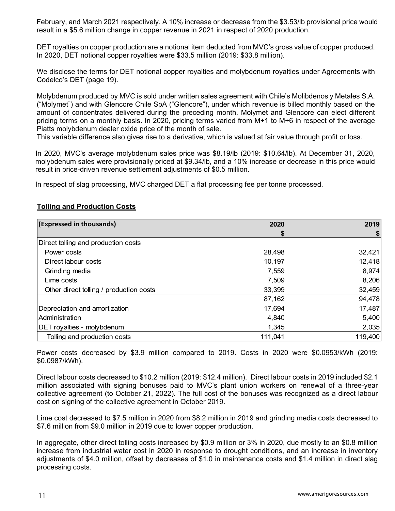February, and March 2021 respectively. A 10% increase or decrease from the \$3.53/lb provisional price would result in a \$5.6 million change in copper revenue in 2021 in respect of 2020 production.

DET royalties on copper production are a notional item deducted from MVC's gross value of copper produced. In 2020, DET notional copper royalties were \$33.5 million (2019: \$33.8 million).

We disclose the terms for DET notional copper royalties and molybdenum royalties under Agreements with Codelco's DET (page 19).

Molybdenum produced by MVC is sold under written sales agreement with Chile's Molibdenos y Metales S.A. ("Molymet") and with Glencore Chile SpA ("Glencore"), under which revenue is billed monthly based on the amount of concentrates delivered during the preceding month. Molymet and Glencore can elect different pricing terms on a monthly basis. In 2020, pricing terms varied from M+1 to M+6 in respect of the average Platts molybdenum dealer oxide price of the month of sale.

This variable difference also gives rise to a derivative, which is valued at fair value through profit or loss.

In 2020, MVC's average molybdenum sales price was \$8.19/lb (2019: \$10.64/lb). At December 31, 2020, molybdenum sales were provisionally priced at \$9.34/lb, and a 10% increase or decrease in this price would result in price-driven revenue settlement adjustments of \$0.5 million.

In respect of slag processing, MVC charged DET a flat processing fee per tonne processed.

| (Expressed in thousands)                | 2020    | 2019                         |
|-----------------------------------------|---------|------------------------------|
|                                         | S       | $\left  \frac{1}{2} \right $ |
| Direct tolling and production costs     |         |                              |
| Power costs                             | 28,498  | 32,421                       |
| Direct labour costs                     | 10,197  | 12,418                       |
| Grinding media                          | 7,559   | 8,974                        |
| Lime costs                              | 7,509   | 8,206                        |
| Other direct tolling / production costs | 33,399  | 32,459                       |
|                                         | 87,162  | 94,478                       |
| Depreciation and amortization           | 17,694  | 17,487                       |
| Administration                          | 4,840   | 5,400                        |
| DET royalties - molybdenum              | 1,345   | 2,035                        |
| Tolling and production costs            | 111,041 | 119,400                      |

# **Tolling and Production Costs**

Power costs decreased by \$3.9 million compared to 2019. Costs in 2020 were \$0.0953/kWh (2019: \$0.0987/kWh).

Direct labour costs decreased to \$10.2 million (2019: \$12.4 million). Direct labour costs in 2019 included \$2.1 million associated with signing bonuses paid to MVC's plant union workers on renewal of a three-year collective agreement (to October 21, 2022). The full cost of the bonuses was recognized as a direct labour cost on signing of the collective agreement in October 2019.

Lime cost decreased to \$7.5 million in 2020 from \$8.2 million in 2019 and grinding media costs decreased to \$7.6 million from \$9.0 million in 2019 due to lower copper production.

In aggregate, other direct tolling costs increased by \$0.9 million or 3% in 2020, due mostly to an \$0.8 million increase from industrial water cost in 2020 in response to drought conditions, and an increase in inventory adjustments of \$4.0 million, offset by decreases of \$1.0 in maintenance costs and \$1.4 million in direct slag processing costs.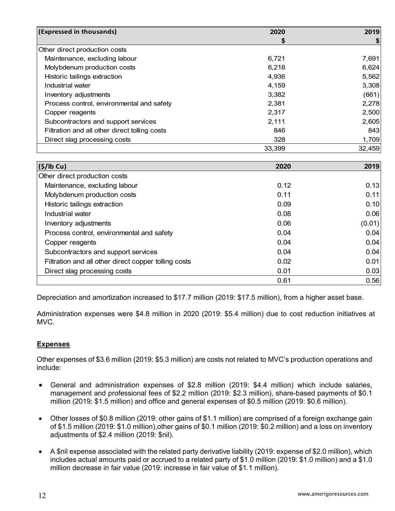| (Expressed in thousands)                      | 2020   | 2019   |
|-----------------------------------------------|--------|--------|
|                                               |        |        |
| Other direct production costs                 |        |        |
| Maintenance, excluding labour                 | 6.721  | 7,691  |
| Molybdenum production costs                   | 6,218  | 6,624  |
| Historic tailings extraction                  | 4,936  | 5,562  |
| Industrial water                              | 4,159  | 3,308  |
| Inventory adjustments                         | 3,382  | (661)  |
| Process control, environmental and safety     | 2,381  | 2,278  |
| Copper reagents                               | 2,317  | 2,500  |
| Subcontractors and support services           | 2,111  | 2,605  |
| Filtration and all other direct tolling costs | 846    | 843    |
| Direct slag processing costs                  | 328    | 1,709  |
|                                               | 33,399 | 32,459 |

| (S/lb Cu)                                            | 2020 | 2019   |
|------------------------------------------------------|------|--------|
| Other direct production costs                        |      |        |
| Maintenance, excluding labour                        | 0.12 | 0.13   |
| Molybdenum production costs                          | 0.11 | 0.11   |
| Historic tailings extraction                         | 0.09 | 0.10   |
| Industrial water                                     | 0.08 | 0.06   |
| Inventory adjustments                                | 0.06 | (0.01) |
| Process control, environmental and safety            | 0.04 | 0.04   |
| Copper reagents                                      | 0.04 | 0.04   |
| Subcontractors and support services                  | 0.04 | 0.04   |
| Filtration and all other direct copper tolling costs | 0.02 | 0.01   |
| Direct slag processing costs                         | 0.01 | 0.03   |
|                                                      | 0.61 | 0.56   |

Depreciation and amortization increased to \$17.7 million (2019: \$17.5 million), from a higher asset base.

Administration expenses were \$4.8 million in 2020 (2019: \$5.4 million) due to cost reduction initiatives at MVC.

# **Expenses**

Other expenses of \$3.6 million (2019: \$5.3 million) are costs not related to MVC's production operations and include:

- General and administration expenses of \$2.8 million (2019: \$4.4 million) which include salaries, management and professional fees of \$2.2 million (2019: \$2.3 million), share-based payments of \$0.1 million (2019: \$1.5 million) and office and general expenses of \$0.5 million (2019: \$0.6 million).
- Other losses of \$0.8 million (2019: other gains of \$1.1 million) are comprised of a foreign exchange gain of \$1.5 million (2019: \$1.0 million),other gains of \$0.1 million (2019: \$0.2 million) and a loss on inventory adjustments of \$2.4 million (2019: \$nil).
- A \$nil expense associated with the related party derivative liability (2019: expense of \$2.0 million), which includes actual amounts paid or accrued to a related party of \$1.0 million (2019: \$1.0 million) and a \$1.0 million decrease in fair value (2019: increase in fair value of \$1.1 million).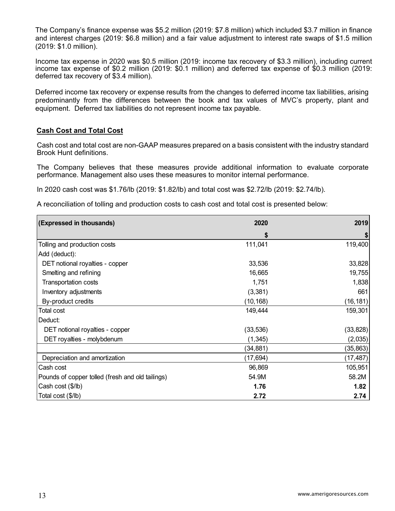The Company's finance expense was \$5.2 million (2019: \$7.8 million) which included \$3.7 million in finance and interest charges (2019: \$6.8 million) and a fair value adjustment to interest rate swaps of \$1.5 million (2019: \$1.0 million).

Income tax expense in 2020 was \$0.5 million (2019: income tax recovery of \$3.3 million), including current income tax expense of \$0.2 million (2019: \$0.1 million) and deferred tax expense of \$0.3 million (2019: deferred tax recovery of \$3.4 million).

Deferred income tax recovery or expense results from the changes to deferred income tax liabilities, arising predominantly from the differences between the book and tax values of MVC's property, plant and equipment. Deferred tax liabilities do not represent income tax payable.

## **Cash Cost and Total Cost**

Cash cost and total cost are non-GAAP measures prepared on a basis consistent with the industry standard Brook Hunt definitions.

The Company believes that these measures provide additional information to evaluate corporate performance. Management also uses these measures to monitor internal performance.

In 2020 cash cost was \$1.76/lb (2019: \$1.82/lb) and total cost was \$2.72/lb (2019: \$2.74/lb).

A reconciliation of tolling and production costs to cash cost and total cost is presented below:

| (Expressed in thousands)                         | 2020      | 2019                         |  |
|--------------------------------------------------|-----------|------------------------------|--|
|                                                  | S         | $\left  \frac{1}{2} \right $ |  |
| Tolling and production costs                     | 111,041   | 119,400                      |  |
| Add (deduct):                                    |           |                              |  |
| DET notional royalties - copper                  | 33,536    | 33,828                       |  |
| Smelting and refining                            | 16,665    | 19,755                       |  |
| <b>Transportation costs</b>                      | 1,751     | 1,838                        |  |
| Inventory adjustments                            | (3, 381)  | 661                          |  |
| By-product credits                               | (10, 168) | (16, 181)                    |  |
| <b>Total cost</b>                                | 149,444   | 159,301                      |  |
| Deduct:                                          |           |                              |  |
| DET notional royalties - copper                  | (33, 536) | (33,828)                     |  |
| DET royalties - molybdenum                       | (1, 345)  | (2,035)                      |  |
|                                                  | (34, 881) | (35, 863)                    |  |
| Depreciation and amortization                    | (17, 694) | (17, 487)                    |  |
| Cash cost                                        | 96,869    | 105,951                      |  |
| Pounds of copper tolled (fresh and old tailings) | 54.9M     | 58.2M                        |  |
| Cash cost (\$/lb)                                | 1.76      | 1.82                         |  |
| Total cost (\$/lb)                               | 2.72      | 2.74                         |  |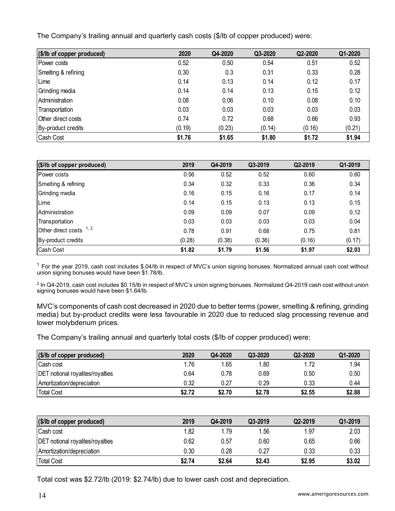The Company's trailing annual and quarterly cash costs (\$/lb of copper produced) were:

| (\$/lb of copper produced) | 2020   | Q4-2020 | Q3-2020 | Q2-2020 | Q1-2020 |
|----------------------------|--------|---------|---------|---------|---------|
| Power costs                | 0.52   | 0.50    | 0.54    | 0.51    | 0.52    |
| Smelting & refining        | 0.30   | 0.3     | 0.31    | 0.33    | 0.28    |
| Lime                       | 0.14   | 0.13    | 0.14    | 0.12    | 0.17    |
| Grinding media             | 0.14   | 0.14    | 0.13    | 0.15    | 0.12    |
| Administration             | 0.08   | 0.06    | 0.10    | 0.08    | 0.10    |
| Transportation             | 0.03   | 0.03    | 0.03    | 0.03    | 0.03    |
| Other direct costs         | 0.74   | 0.72    | 0.68    | 0.66    | 0.93    |
| By-product credits         | (0.19) | (0.23)  | (0.14)  | (0.16)  | (0.21)  |
| <b>Cash Cost</b>           | \$1.76 | \$1.65  | \$1.80  | \$1.72  | \$1.94  |

| (\$/lb of copper produced) | 2019   | Q4-2019 | Q3-2019 | Q2-2019 | Q1-2019 |
|----------------------------|--------|---------|---------|---------|---------|
| <b>Power costs</b>         | 0.56   | 0.52    | 0.52    | 0.60    | 0.60    |
| Smelting & refining        | 0.34   | 0.32    | 0.33    | 0.36    | 0.34    |
| Grinding media             | 0.16   | 0.15    | 0.16    | 0.17    | 0.14    |
| Lime                       | 0.14   | 0.15    | 0.13    | 0.13    | 0.15    |
| Administration             | 0.09   | 0.09    | 0.07    | 0.09    | 0.12    |
| Transportation             | 0.03   | 0.03    | 0.03    | 0.03    | 0.04    |
| Other direct costs $1, 2$  | 0.78   | 0.91    | 0.68    | 0.75    | 0.81    |
| By-product credits         | (0.28) | (0.38)  | (0.36)  | (0.16)  | (0.17)  |
| <b>Cash Cost</b>           | \$1.82 | \$1.79  | \$1.56  | \$1.97  | \$2.03  |

<sup>1</sup> For the year 2019, cash cost includes \$.04/lb in respect of MVC's union signing bonuses. Normalized annual cash cost without union signing bonuses would have been \$1.78/lb.

2 In Q4-2019, cash cost includes \$0.15/lb in respect of MVC's union signing bonuses. Normalized Q4-2019 cash cost without union signing bonuses would have been \$1.64/lb.

MVC's components of cash cost decreased in 2020 due to better terms (power, smelting & refining, grinding media) but by-product credits were less favourable in 2020 due to reduced slag processing revenue and lower molybdenum prices.

The Company's trailing annual and quarterly total costs (\$/lb of copper produced) were:

| (\$/lb of copper produced)              | 2020   | Q4-2020 | Q3-2020 | Q2-2020 | Q1-2020 |
|-----------------------------------------|--------|---------|---------|---------|---------|
| Cash cost                               | 1.76   | 1.65    | 1.80    | 1.72    | 1.94    |
| <b>DET</b> notional royalites/royalties | 0.64   | 0.78    | 0.69    | 0.50    | 0.50    |
| Amortization/depreciation               | 0.32   | 0.27    | 0.29    | 0.33    | 0.44    |
| <b>Total Cost</b>                       | \$2.72 | \$2.70  | \$2.78  | \$2.55  | \$2.88  |

| (\$/lb of copper produced)              | 2019   | Q4-2019 | Q3-2019 | Q2-2019 | Q1-2019 |
|-----------------------------------------|--------|---------|---------|---------|---------|
| Cash cost                               | 1.82   | 1.79    | ∣.56    | 1.97    | 2.03    |
| <b>DET</b> notional royalites/royalties | 0.62   | 0.57    | 0.60    | 0.65    | 0.66    |
| Amortization/depreciation               | 0.30   | 0.28    | 0.27    | 0.33    | 0.33    |
| Total Cost                              | \$2.74 | \$2.64  | \$2.43  | \$2.95  | \$3.02  |

Total cost was \$2.72/lb (2019: \$2.74/lb) due to lower cash cost and depreciation.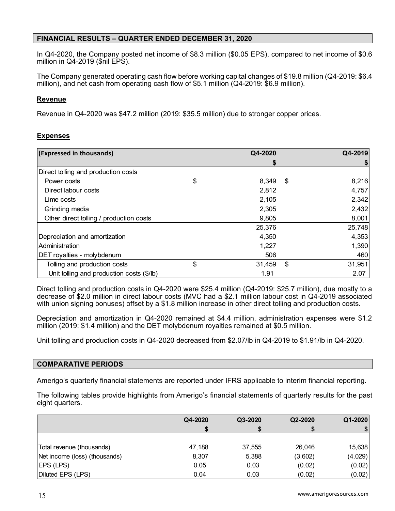# **FINANCIAL RESULTS – QUARTER ENDED DECEMBER 31, 2020**

In Q4-2020, the Company posted net income of \$8.3 million (\$0.05 EPS), compared to net income of \$0.6 million in Q4-2019 (\$nil EPS).

The Company generated operating cash flow before working capital changes of \$19.8 million (Q4-2019: \$6.4 million), and net cash from operating cash flow of \$5.1 million (Q4-2019: \$6.9 million).

## **Revenue**

Revenue in Q4-2020 was \$47.2 million (2019: \$35.5 million) due to stronger copper prices.

# **Expenses**

| (Expressed in thousands)                  | Q4-2020      |      | Q4-2019 |
|-------------------------------------------|--------------|------|---------|
|                                           |              |      |         |
| Direct tolling and production costs       |              |      |         |
| Power costs                               | \$<br>8,349  | - \$ | 8,216   |
| Direct labour costs                       | 2,812        |      | 4,757   |
| Lime costs                                | 2,105        |      | 2,342   |
| Grinding media                            | 2,305        |      | 2,432   |
| Other direct tolling / production costs   | 9,805        |      | 8,001   |
|                                           | 25,376       |      | 25,748  |
| Depreciation and amortization             | 4,350        |      | 4,353   |
| Administration                            | 1,227        |      | 1,390   |
| DET royalties - molybdenum                | 506          |      | 460     |
| Tolling and production costs              | \$<br>31,459 | \$   | 31,951  |
| Unit tolling and production costs (\$/lb) | 1.91         |      | 2.07    |

Direct tolling and production costs in Q4-2020 were \$25.4 million (Q4-2019: \$25.7 million), due mostly to a decrease of \$2.0 million in direct labour costs (MVC had a \$2.1 million labour cost in Q4-2019 associated with union signing bonuses) offset by a \$1.8 million increase in other direct tolling and production costs.

Depreciation and amortization in Q4-2020 remained at \$4.4 million, administration expenses were \$1.2 million (2019: \$1.4 million) and the DET molybdenum royalties remained at \$0.5 million.

Unit tolling and production costs in Q4-2020 decreased from \$2.07/lb in Q4-2019 to \$1.91/lb in Q4-2020.

### **COMPARATIVE PERIODS**

Amerigo's quarterly financial statements are reported under IFRS applicable to interim financial reporting.

The following tables provide highlights from Amerigo's financial statements of quarterly results for the past eight quarters.

|                               | Q4-2020 | Q3-2020 | Q2-2020 | Q1-2020 |
|-------------------------------|---------|---------|---------|---------|
|                               |         |         |         |         |
|                               |         |         |         |         |
| Total revenue (thousands)     | 47,188  | 37,555  | 26,046  | 15,638  |
| Net income (loss) (thousands) | 8,307   | 5,388   | (3,602) | (4,029) |
| EPS (LPS)                     | 0.05    | 0.03    | (0.02)  | (0.02)  |
| Diluted EPS (LPS)             | 0.04    | 0.03    | (0.02)  | (0.02)  |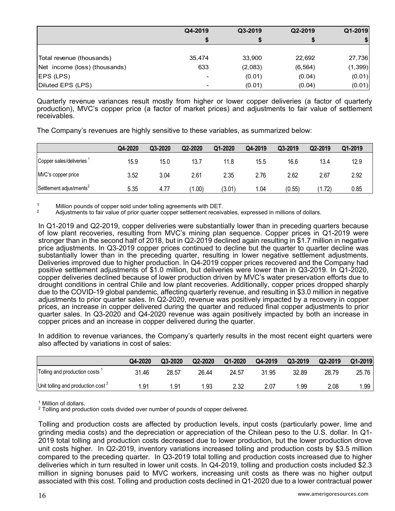|                               | Q4-2019        | Q3-2019 | Q2-2019  | Q1-2019  |
|-------------------------------|----------------|---------|----------|----------|
|                               |                |         | S        |          |
|                               |                |         |          |          |
| Total revenue (thousands)     | 35.474         | 33,900  | 22,692   | 27,736   |
| Net income (loss) (thousands) | 633            | (2,083) | (6, 564) | (1, 399) |
| EPS (LPS)                     | -              | (0.01)  | (0.04)   | (0.01)   |
| Diluted EPS (LPS)             | $\blacksquare$ | (0.01)  | (0.04)   | (0.01)   |

Quarterly revenue variances result mostly from higher or lower copper deliveries (a factor of quarterly production), MVC's copper price (a factor of market prices) and adjustments to fair value of settlement receivables.

The Company's revenues are highly sensitive to these variables, as summarized below:

|                                     | Q4-2020 | Q3-2020 | Q2-2020 | Q1-2020 | Q4-2019 | Q3-2019 | Q2-2019 | Q1-2019 |
|-------------------------------------|---------|---------|---------|---------|---------|---------|---------|---------|
| Copper sales/deliveries             | 15.9    | 15.0    | 13.7    | 11.8    | 15.5    | 16.6    | 13.4    | 12.9    |
| MVC's copper price                  | 3.52    | 3.04    | 2.61    | 2.35    | 2.76    | 2.62    | 2.67    | 2.92    |
| Settlement adjustments <sup>2</sup> | 5.35    | 4.77    | .00)    | (3.01)  | 1.04    | (0.55)  | (1.72)  | 0.85    |

<sup>1</sup> Million pounds of copper sold under tolling agreements with DET.<br><sup>2</sup> Adjustments to fair value of prior quarter copper settlement receivables, expressed in millions of dollars.

In Q1-2019 and Q2-2019, copper deliveries were substantially lower than in preceding quarters because of low plant recoveries, resulting from MVC's mining plan sequence. Copper prices in Q1-2019 were stronger than in the second half of 2018, but in Q2-2019 declined again resulting in \$1.7 million in negative price adjustments. In Q3-2019 copper prices continued to decline but the quarter to quarter decline was substantially lower than in the preceding quarter, resulting in lower negative settlement adjustments. Deliveries improved due to higher production. In Q4-2019 copper prices recovered and the Company had positive settlement adjustments of \$1.0 million, but deliveries were lower than in Q3-2019. In Q1-2020, copper deliveries declined because of lower production driven by MVC's water preservation efforts due to drought conditions in central Chile and low plant recoveries. Additionally, copper prices dropped sharply due to the COVID-19 global pandemic, affecting quarterly revenue, and resulting in \$3.0 million in negative adjustments to prior quarter sales. In Q2-2020, revenue was positively impacted by a recovery in copper prices, an increase in copper delivered during the quarter and reduced final copper adjustments to prior quarter sales. In Q3-2020 and Q4-2020 revenue was again positively impacted by both an increase in copper prices and an increase in copper delivered during the quarter.

In addition to revenue variances, the Company's quarterly results in the most recent eight quarters were also affected by variations in cost of sales:

|                                               | Q4-2020 | Q3-2020 | Q2-2020 | Q1-2020 | Q4-2019 | Q3-2019 | Q2-2019 | Q1-2019 |
|-----------------------------------------------|---------|---------|---------|---------|---------|---------|---------|---------|
| Tolling and production costs 1                | 31.46   | 28.57   | 26.44   | 24.57   | 31.95   | 32.89   | 28.79   | 25.76   |
| Unit tolling and production cost <sup>2</sup> | 1.91    | 91. ا   | '.93    | 2.32    | 2.07    | 1.99    | 2.08    | .99     |

1 Million of dollars.

 $2$  Tolling and production costs divided over number of pounds of copper delivered.

Tolling and production costs are affected by production levels, input costs (particularly power, lime and grinding media costs) and the depreciation or appreciation of the Chilean peso to the U.S. dollar. In Q1- 2019 total tolling and production costs decreased due to lower production, but the lower production drove unit costs higher. In Q2-2019, inventory variations increased tolling and production costs by \$3.5 million compared to the preceding quarter. In Q3-2019 total tolling and production costs increased due to higher deliveries which in turn resulted in lower unit costs. In Q4-2019, tolling and production costs included \$2.3 million in signing bonuses paid to MVC workers, increasing unit costs as there was no higher output associated with this cost. Tolling and production costs declined in Q1-2020 due to a lower contractual power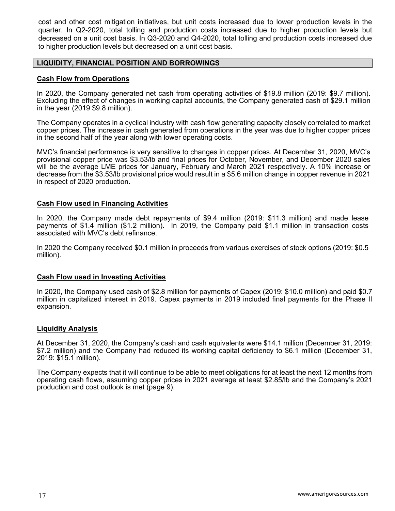cost and other cost mitigation initiatives, but unit costs increased due to lower production levels in the quarter. In Q2-2020, total tolling and production costs increased due to higher production levels but decreased on a unit cost basis. In Q3-2020 and Q4-2020, total tolling and production costs increased due to higher production levels but decreased on a unit cost basis.

### **LIQUIDITY, FINANCIAL POSITION AND BORROWINGS**

## **Cash Flow from Operations**

In 2020, the Company generated net cash from operating activities of \$19.8 million (2019: \$9.7 million). Excluding the effect of changes in working capital accounts, the Company generated cash of \$29.1 million in the year (2019 \$9.8 million).

The Company operates in a cyclical industry with cash flow generating capacity closely correlated to market copper prices. The increase in cash generated from operations in the year was due to higher copper prices in the second half of the year along with lower operating costs.

MVC's financial performance is very sensitive to changes in copper prices. At December 31, 2020, MVC's provisional copper price was \$3.53/lb and final prices for October, November, and December 2020 sales will be the average LME prices for January, February and March 2021 respectively. A 10% increase or decrease from the \$3.53/lb provisional price would result in a \$5.6 million change in copper revenue in 2021 in respect of 2020 production.

## **Cash Flow used in Financing Activities**

In 2020, the Company made debt repayments of \$9.4 million (2019: \$11.3 million) and made lease payments of \$1.4 million (\$1.2 million). In 2019, the Company paid \$1.1 million in transaction costs associated with MVC's debt refinance.

In 2020 the Company received \$0.1 million in proceeds from various exercises of stock options (2019: \$0.5 million).

### **Cash Flow used in Investing Activities**

In 2020, the Company used cash of \$2.8 million for payments of Capex (2019: \$10.0 million) and paid \$0.7 million in capitalized interest in 2019. Capex payments in 2019 included final payments for the Phase II expansion.

### **Liquidity Analysis**

At December 31, 2020, the Company's cash and cash equivalents were \$14.1 million (December 31, 2019: \$7.2 million) and the Company had reduced its working capital deficiency to \$6.1 million (December 31, 2019: \$15.1 million).

The Company expects that it will continue to be able to meet obligations for at least the next 12 months from operating cash flows, assuming copper prices in 2021 average at least \$2.85/lb and the Company's 2021 production and cost outlook is met (page 9).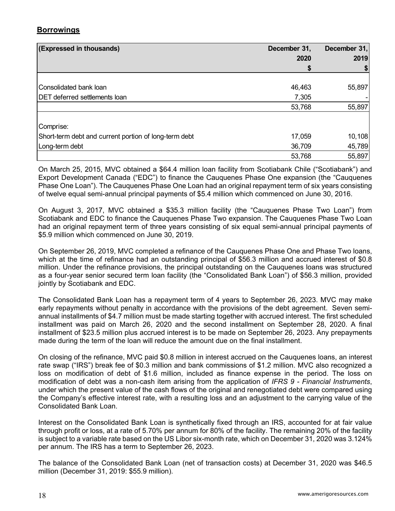# **Borrowings**

| (Expressed in thousands)                              | December 31, | December 31, |
|-------------------------------------------------------|--------------|--------------|
|                                                       | 2020         | 2019         |
|                                                       | S            | \$           |
|                                                       |              |              |
| Consolidated bank loan                                | 46,463       | 55,897       |
| DET deferred settlements loan                         | 7,305        |              |
|                                                       | 53,768       | 55,897       |
| Comprise:                                             |              |              |
| Short-term debt and current portion of long-term debt | 17,059       | 10,108       |
| Long-term debt                                        | 36,709       | 45,789       |
|                                                       | 53,768       | 55,897       |

On March 25, 2015, MVC obtained a \$64.4 million loan facility from Scotiabank Chile ("Scotiabank") and Export Development Canada ("EDC") to finance the Cauquenes Phase One expansion (the "Cauquenes Phase One Loan"). The Cauquenes Phase One Loan had an original repayment term of six years consisting of twelve equal semi-annual principal payments of \$5.4 million which commenced on June 30, 2016.

On August 3, 2017, MVC obtained a \$35.3 million facility (the "Cauquenes Phase Two Loan") from Scotiabank and EDC to finance the Cauquenes Phase Two expansion. The Cauquenes Phase Two Loan had an original repayment term of three years consisting of six equal semi-annual principal payments of \$5.9 million which commenced on June 30, 2019.

On September 26, 2019, MVC completed a refinance of the Cauquenes Phase One and Phase Two loans, which at the time of refinance had an outstanding principal of \$56.3 million and accrued interest of \$0.8 million. Under the refinance provisions, the principal outstanding on the Cauquenes loans was structured as a four-year senior secured term loan facility (the "Consolidated Bank Loan") of \$56.3 million, provided jointly by Scotiabank and EDC.

The Consolidated Bank Loan has a repayment term of 4 years to September 26, 2023. MVC may make early repayments without penalty in accordance with the provisions of the debt agreement. Seven semiannual installments of \$4.7 million must be made starting together with accrued interest. The first scheduled installment was paid on March 26, 2020 and the second installment on September 28, 2020. A final installment of \$23.5 million plus accrued interest is to be made on September 26, 2023. Any prepayments made during the term of the loan will reduce the amount due on the final installment.

On closing of the refinance, MVC paid \$0.8 million in interest accrued on the Cauquenes loans, an interest rate swap ("IRS") break fee of \$0.3 million and bank commissions of \$1.2 million. MVC also recognized a loss on modification of debt of \$1.6 million, included as finance expense in the period. The loss on modification of debt was a non-cash item arising from the application of *IFRS 9 - Financial Instruments*, under which the present value of the cash flows of the original and renegotiated debt were compared using the Company's effective interest rate, with a resulting loss and an adjustment to the carrying value of the Consolidated Bank Loan.

Interest on the Consolidated Bank Loan is synthetically fixed through an IRS, accounted for at fair value through profit or loss, at a rate of 5.70% per annum for 80% of the facility. The remaining 20% of the facility is subject to a variable rate based on the US Libor six-month rate, which on December 31, 2020 was 3.124% per annum. The IRS has a term to September 26, 2023.

The balance of the Consolidated Bank Loan (net of transaction costs) at December 31, 2020 was \$46.5 million (December 31, 2019: \$55.9 million).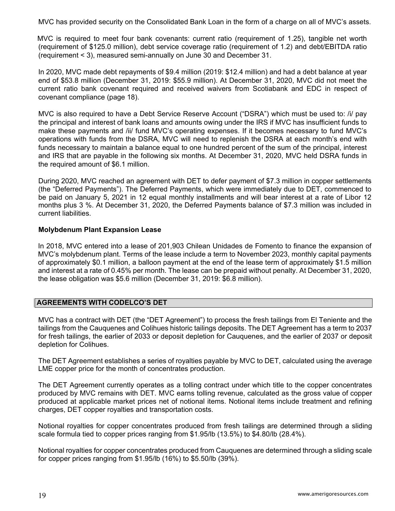MVC has provided security on the Consolidated Bank Loan in the form of a charge on all of MVC's assets.

 MVC is required to meet four bank covenants: current ratio (requirement of 1.25), tangible net worth (requirement of \$125.0 million), debt service coverage ratio (requirement of 1.2) and debt/EBITDA ratio (requirement < 3), measured semi-annually on June 30 and December 31.

In 2020, MVC made debt repayments of \$9.4 million (2019: \$12.4 million) and had a debt balance at year end of \$53.8 million (December 31, 2019: \$55.9 million). At December 31, 2020, MVC did not meet the current ratio bank covenant required and received waivers from Scotiabank and EDC in respect of covenant compliance (page 18).

MVC is also required to have a Debt Service Reserve Account ("DSRA") which must be used to: /i/ pay the principal and interest of bank loans and amounts owing under the IRS if MVC has insufficient funds to make these payments and /ii/ fund MVC's operating expenses. If it becomes necessary to fund MVC's operations with funds from the DSRA, MVC will need to replenish the DSRA at each month's end with funds necessary to maintain a balance equal to one hundred percent of the sum of the principal, interest and IRS that are payable in the following six months. At December 31, 2020, MVC held DSRA funds in the required amount of \$6.1 million.

During 2020, MVC reached an agreement with DET to defer payment of \$7.3 million in copper settlements (the "Deferred Payments"). The Deferred Payments, which were immediately due to DET, commenced to be paid on January 5, 2021 in 12 equal monthly installments and will bear interest at a rate of Libor 12 months plus 3 %. At December 31, 2020, the Deferred Payments balance of \$7.3 million was included in current liabilities.

## **Molybdenum Plant Expansion Lease**

In 2018, MVC entered into a lease of 201,903 Chilean Unidades de Fomento to finance the expansion of MVC's molybdenum plant. Terms of the lease include a term to November 2023, monthly capital payments of approximately \$0.1 million, a balloon payment at the end of the lease term of approximately \$1.5 million and interest at a rate of 0.45% per month. The lease can be prepaid without penalty. At December 31, 2020, the lease obligation was \$5.6 million (December 31, 2019: \$6.8 million).

## **AGREEMENTS WITH CODELCO'S DET**

MVC has a contract with DET (the "DET Agreement") to process the fresh tailings from El Teniente and the tailings from the Cauquenes and Colihues historic tailings deposits. The DET Agreement has a term to 2037 for fresh tailings, the earlier of 2033 or deposit depletion for Cauquenes, and the earlier of 2037 or deposit depletion for Colihues.

The DET Agreement establishes a series of royalties payable by MVC to DET, calculated using the average LME copper price for the month of concentrates production.

The DET Agreement currently operates as a tolling contract under which title to the copper concentrates produced by MVC remains with DET. MVC earns tolling revenue, calculated as the gross value of copper produced at applicable market prices net of notional items. Notional items include treatment and refining charges, DET copper royalties and transportation costs.

Notional royalties for copper concentrates produced from fresh tailings are determined through a sliding scale formula tied to copper prices ranging from \$1.95/lb (13.5%) to \$4.80/lb (28.4%).

Notional royalties for copper concentrates produced from Cauquenes are determined through a sliding scale for copper prices ranging from \$1.95/lb (16%) to \$5.50/lb (39%).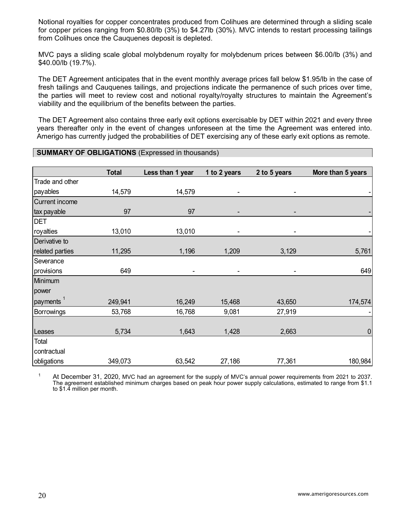Notional royalties for copper concentrates produced from Colihues are determined through a sliding scale for copper prices ranging from \$0.80/lb (3%) to \$4.27lb (30%). MVC intends to restart processing tailings from Colihues once the Cauquenes deposit is depleted.

MVC pays a sliding scale global molybdenum royalty for molybdenum prices between \$6.00/lb (3%) and \$40.00/lb (19.7%).

The DET Agreement anticipates that in the event monthly average prices fall below \$1.95/lb in the case of fresh tailings and Cauquenes tailings, and projections indicate the permanence of such prices over time, the parties will meet to review cost and notional royalty/royalty structures to maintain the Agreement's viability and the equilibrium of the benefits between the parties.

The DET Agreement also contains three early exit options exercisable by DET within 2021 and every three years thereafter only in the event of changes unforeseen at the time the Agreement was entered into. Amerigo has currently judged the probabilities of DET exercising any of these early exit options as remote.

|                       | <b>Total</b> | Less than 1 year | 1 to 2 years | 2 to 5 years | More than 5 years |
|-----------------------|--------------|------------------|--------------|--------------|-------------------|
| Trade and other       |              |                  |              |              |                   |
| payables              | 14,579       | 14,579           |              |              |                   |
| <b>Current income</b> |              |                  |              |              |                   |
| tax payable           | 97           | 97               |              |              |                   |
| <b>DET</b>            |              |                  |              |              |                   |
| royalties             | 13,010       | 13,010           |              |              |                   |
| Derivative to         |              |                  |              |              |                   |
| related parties       | 11,295       | 1,196            | 1,209        | 3,129        | 5,761             |
| Severance             |              |                  |              |              |                   |
| provisions            | 649          |                  |              |              | 649               |
| Minimum               |              |                  |              |              |                   |
| power                 |              |                  |              |              |                   |
| payments <sup>1</sup> | 249,941      | 16,249           | 15,468       | 43,650       | 174,574           |
| Borrowings            | 53,768       | 16,768           | 9,081        | 27,919       |                   |
|                       |              |                  |              |              |                   |
| Leases                | 5,734        | 1,643            | 1,428        | 2,663        | $\mathbf 0$       |
| Total                 |              |                  |              |              |                   |
| contractual           |              |                  |              |              |                   |
| obligations           | 349,073      | 63,542           | 27,186       | 77,361       | 180,984           |

**SUMMARY OF OBLIGATIONS** (Expressed in thousands)

<sup>1</sup> At December 31, 2020, MVC had an agreement for the supply of MVC's annual power requirements from 2021 to 2037. The agreement established minimum charges based on peak hour power supply calculations, estimated to range from \$1.1 to \$1.4 million per month.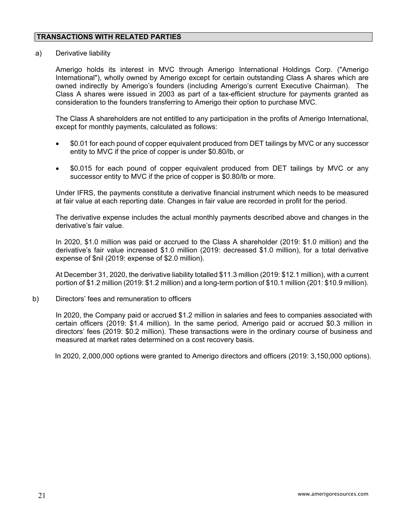## **TRANSACTIONS WITH RELATED PARTIES**

a) Derivative liability

Amerigo holds its interest in MVC through Amerigo International Holdings Corp. ("Amerigo International"), wholly owned by Amerigo except for certain outstanding Class A shares which are owned indirectly by Amerigo's founders (including Amerigo's current Executive Chairman). The Class A shares were issued in 2003 as part of a tax-efficient structure for payments granted as consideration to the founders transferring to Amerigo their option to purchase MVC.

The Class A shareholders are not entitled to any participation in the profits of Amerigo International, except for monthly payments, calculated as follows:

- \$0.01 for each pound of copper equivalent produced from DET tailings by MVC or any successor entity to MVC if the price of copper is under \$0.80/lb, or
- \$0.015 for each pound of copper equivalent produced from DET tailings by MVC or any successor entity to MVC if the price of copper is \$0.80/lb or more.

Under IFRS, the payments constitute a derivative financial instrument which needs to be measured at fair value at each reporting date. Changes in fair value are recorded in profit for the period.

The derivative expense includes the actual monthly payments described above and changes in the derivative's fair value.

In 2020, \$1.0 million was paid or accrued to the Class A shareholder (2019: \$1.0 million) and the derivative's fair value increased \$1.0 million (2019: decreased \$1.0 million), for a total derivative expense of \$nil (2019: expense of \$2.0 million).

At December 31, 2020, the derivative liability totalled \$11.3 million (2019: \$12.1 million), with a current portion of \$1.2 million (2019: \$1.2 million) and a long-term portion of \$10.1 million (201: \$10.9 million).

b) Directors' fees and remuneration to officers

 In 2020, the Company paid or accrued \$1.2 million in salaries and fees to companies associated with certain officers (2019: \$1.4 million). In the same period, Amerigo paid or accrued \$0.3 million in directors' fees (2019: \$0.2 million). These transactions were in the ordinary course of business and measured at market rates determined on a cost recovery basis.

In 2020, 2,000,000 options were granted to Amerigo directors and officers (2019: 3,150,000 options).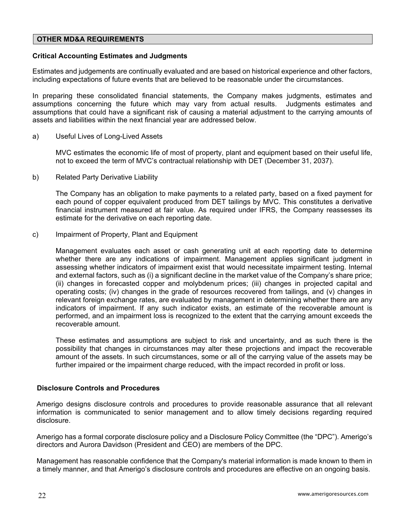## **OTHER MD&A REQUIREMENTS**

### **Critical Accounting Estimates and Judgments**

Estimates and judgements are continually evaluated and are based on historical experience and other factors, including expectations of future events that are believed to be reasonable under the circumstances.

In preparing these consolidated financial statements, the Company makes judgments, estimates and assumptions concerning the future which may vary from actual results. Judgments estimates and assumptions that could have a significant risk of causing a material adjustment to the carrying amounts of assets and liabilities within the next financial year are addressed below.

a) Useful Lives of Long-Lived Assets

MVC estimates the economic life of most of property, plant and equipment based on their useful life, not to exceed the term of MVC's contractual relationship with DET (December 31, 2037).

b) Related Party Derivative Liability

The Company has an obligation to make payments to a related party, based on a fixed payment for each pound of copper equivalent produced from DET tailings by MVC. This constitutes a derivative financial instrument measured at fair value. As required under IFRS, the Company reassesses its estimate for the derivative on each reporting date.

c) Impairment of Property, Plant and Equipment

Management evaluates each asset or cash generating unit at each reporting date to determine whether there are any indications of impairment. Management applies significant judgment in assessing whether indicators of impairment exist that would necessitate impairment testing. Internal and external factors, such as (i) a significant decline in the market value of the Company's share price; (ii) changes in forecasted copper and molybdenum prices; (iii) changes in projected capital and operating costs; (iv) changes in the grade of resources recovered from tailings, and (v) changes in relevant foreign exchange rates, are evaluated by management in determining whether there are any indicators of impairment. If any such indicator exists, an estimate of the recoverable amount is performed, and an impairment loss is recognized to the extent that the carrying amount exceeds the recoverable amount.

These estimates and assumptions are subject to risk and uncertainty, and as such there is the possibility that changes in circumstances may alter these projections and impact the recoverable amount of the assets. In such circumstances, some or all of the carrying value of the assets may be further impaired or the impairment charge reduced, with the impact recorded in profit or loss.

### **Disclosure Controls and Procedures**

Amerigo designs disclosure controls and procedures to provide reasonable assurance that all relevant information is communicated to senior management and to allow timely decisions regarding required disclosure.

Amerigo has a formal corporate disclosure policy and a Disclosure Policy Committee (the "DPC"). Amerigo's directors and Aurora Davidson (President and CEO) are members of the DPC.

Management has reasonable confidence that the Company's material information is made known to them in a timely manner, and that Amerigo's disclosure controls and procedures are effective on an ongoing basis.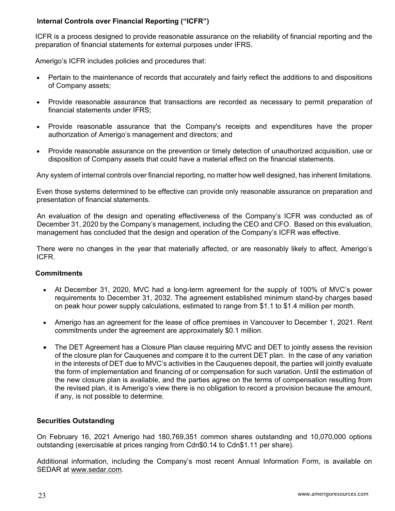# **Internal Controls over Financial Reporting ("ICFR")**

ICFR is a process designed to provide reasonable assurance on the reliability of financial reporting and the preparation of financial statements for external purposes under IFRS.

Amerigo's ICFR includes policies and procedures that:

- Pertain to the maintenance of records that accurately and fairly reflect the additions to and dispositions of Company assets;
- Provide reasonable assurance that transactions are recorded as necessary to permit preparation of financial statements under IFRS;
- Provide reasonable assurance that the Company's receipts and expenditures have the proper authorization of Amerigo's management and directors; and
- Provide reasonable assurance on the prevention or timely detection of unauthorized acquisition, use or disposition of Company assets that could have a material effect on the financial statements.

Any system of internal controls over financial reporting, no matter how well designed, has inherent limitations.

Even those systems determined to be effective can provide only reasonable assurance on preparation and presentation of financial statements.

An evaluation of the design and operating effectiveness of the Company's ICFR was conducted as of December 31, 2020 by the Company's management, including the CEO and CFO. Based on this evaluation, management has concluded that the design and operation of the Company's ICFR was effective.

There were no changes in the year that materially affected, or are reasonably likely to affect, Amerigo's ICFR.

## **Commitments**

- At December 31, 2020, MVC had a long-term agreement for the supply of 100% of MVC's power requirements to December 31, 2032. The agreement established minimum stand-by charges based on peak hour power supply calculations, estimated to range from \$1.1 to \$1.4 million per month.
- Amerigo has an agreement for the lease of office premises in Vancouver to December 1, 2021. Rent commitments under the agreement are approximately \$0.1 million.
- The DET Agreement has a Closure Plan clause requiring MVC and DET to jointly assess the revision of the closure plan for Cauquenes and compare it to the current DET plan. In the case of any variation in the interests of DET due to MVC's activities in the Cauquenes deposit, the parties will jointly evaluate the form of implementation and financing of or compensation for such variation. Until the estimation of the new closure plan is available, and the parties agree on the terms of compensation resulting from the revised plan, it is Amerigo's view there is no obligation to record a provision because the amount, if any, is not possible to determine.

## **Securities Outstanding**

On February 16, 2021 Amerigo had 180,769,351 common shares outstanding and 10,070,000 options outstanding (exercisable at prices ranging from Cdn\$0.14 to Cdn\$1.11 per share).

Additional information, including the Company's most recent Annual Information Form, is available on SEDAR at www.sedar.com.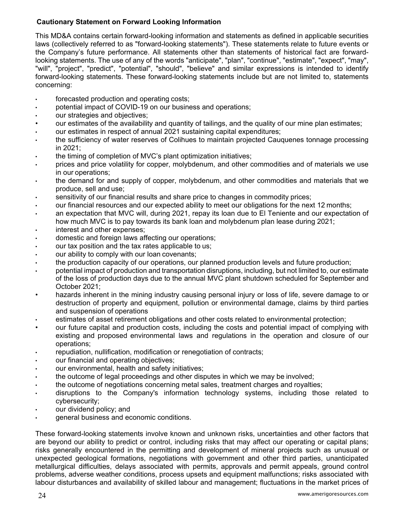# **Cautionary Statement on Forward Looking Information**

This MD&A contains certain forward-looking information and statements as defined in applicable securities laws (collectively referred to as "forward-looking statements"). These statements relate to future events or the Company's future performance. All statements other than statements of historical fact are forwardlooking statements. The use of any of the words "anticipate", "plan", "continue", "estimate", "expect", "may", "will", "project", "predict", "potential", "should", "believe" and similar expressions is intended to identify forward-looking statements. These forward-looking statements include but are not limited to, statements concerning:

- forecasted production and operating costs;
- potential impact of COVID-19 on our business and operations;
- our strategies and objectives;
- our estimates of the availability and quantity of tailings, and the quality of our mine plan estimates;
- our estimates in respect of annual 2021 sustaining capital expenditures;
- the sufficiency of water reserves of Colihues to maintain projected Cauquenes tonnage processing in 2021;
- the timing of completion of MVC's plant optimization initiatives;
- prices and price volatility for copper, molybdenum, and other commodities and of materials we use in our operations;
- the demand for and supply of copper, molybdenum, and other commodities and materials that we produce, sell and use;
- sensitivity of our financial results and share price to changes in commodity prices;
- our financial resources and our expected ability to meet our obligations for the next 12 months;
- an expectation that MVC will, during 2021, repay its loan due to El Teniente and our expectation of how much MVC is to pay towards its bank loan and molybdenum plan lease during 2021;
- interest and other expenses;
- domestic and foreign laws affecting our operations;
- our tax position and the tax rates applicable to us;
- our ability to comply with our loan covenants;
- the production capacity of our operations, our planned production levels and future production;
- potential impact of production and transportation disruptions, including, but not limited to, our estimate of the loss of production days due to the annual MVC plant shutdown scheduled for September and October 2021;
- hazards inherent in the mining industry causing personal injury or loss of life, severe damage to or destruction of property and equipment, pollution or environmental damage, claims by third parties and suspension of operations
- estimates of asset retirement obligations and other costs related to environmental protection;
- our future capital and production costs, including the costs and potential impact of complying with existing and proposed environmental laws and regulations in the operation and closure of our operations;
- repudiation, nullification, modification or renegotiation of contracts;
- our financial and operating objectives;
- our environmental, health and safety initiatives;
- the outcome of legal proceedings and other disputes in which we may be involved;
- the outcome of negotiations concerning metal sales, treatment charges and royalties;
- disruptions to the Company's information technology systems, including those related to cybersecurity;
- our dividend policy; and
- general business and economic conditions.

These forward-looking statements involve known and unknown risks, uncertainties and other factors that are beyond our ability to predict or control, including risks that may affect our operating or capital plans; risks generally encountered in the permitting and development of mineral projects such as unusual or unexpected geological formations, negotiations with government and other third parties, unanticipated metallurgical difficulties, delays associated with permits, approvals and permit appeals, ground control problems, adverse weather conditions, process upsets and equipment malfunctions; risks associated with labour disturbances and availability of skilled labour and management; fluctuations in the market prices of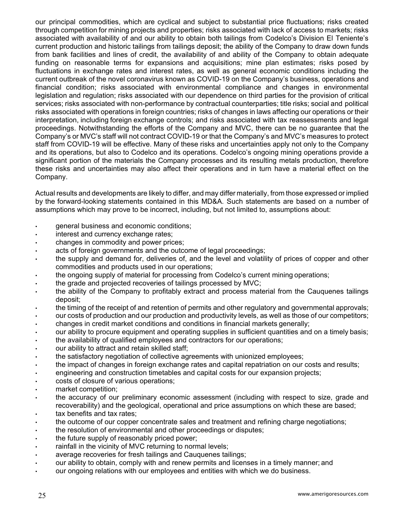our principal commodities, which are cyclical and subject to substantial price fluctuations; risks created through competition for mining projects and properties; risks associated with lack of access to markets; risks associated with availability of and our ability to obtain both tailings from Codelco's Division El Teniente's current production and historic tailings from tailings deposit; the ability of the Company to draw down funds from bank facilities and lines of credit, the availability of and ability of the Company to obtain adequate funding on reasonable terms for expansions and acquisitions; mine plan estimates; risks posed by fluctuations in exchange rates and interest rates, as well as general economic conditions including the current outbreak of the novel coronavirus known as COVID-19 on the Company's business, operations and financial condition; risks associated with environmental compliance and changes in environmental legislation and regulation; risks associated with our dependence on third parties for the provision of critical services; risks associated with non-performance by contractual counterparties; title risks; social and political risks associated with operations in foreign countries; risks of changes in laws affecting our operations or their interpretation, including foreign exchange controls; and risks associated with tax reassessments and legal proceedings. Notwithstanding the efforts of the Company and MVC, there can be no guarantee that the Company's or MVC's staff will not contract COVID-19 or that the Company's and MVC's measures to protect staff from COVID-19 will be effective. Many of these risks and uncertainties apply not only to the Company and its operations, but also to Codelco and its operations. Codelco's ongoing mining operations provide a significant portion of the materials the Company processes and its resulting metals production, therefore these risks and uncertainties may also affect their operations and in turn have a material effect on the Company.

Actual results and developments are likely to differ, and may differ materially, from those expressed or implied by the forward-looking statements contained in this MD&A. Such statements are based on a number of assumptions which may prove to be incorrect, including, but not limited to, assumptions about:

- general business and economic conditions;
- interest and currency exchange rates;
- changes in commodity and power prices;
- acts of foreign governments and the outcome of legal proceedings;
- the supply and demand for, deliveries of, and the level and volatility of prices of copper and other commodities and products used in our operations;
- the ongoing supply of material for processing from Codelco's current mining operations;
- the grade and projected recoveries of tailings processed by MVC;
- the ability of the Company to profitably extract and process material from the Cauquenes tailings deposit;
- the timing of the receipt of and retention of permits and other regulatory and governmental approvals;
- our costs of production and our production and productivity levels, as well as those of our competitors;
- changes in credit market conditions and conditions in financial markets generally;
- our ability to procure equipment and operating supplies in sufficient quantities and on a timely basis;
- the availability of qualified employees and contractors for our operations;
- our ability to attract and retain skilled staff;
- the satisfactory negotiation of collective agreements with unionized employees;
- the impact of changes in foreign exchange rates and capital repatriation on our costs and results;
- engineering and construction timetables and capital costs for our expansion projects;
- costs of closure of various operations;
- market competition;
- the accuracy of our preliminary economic assessment (including with respect to size, grade and recoverability) and the geological, operational and price assumptions on which these are based;
- tax benefits and tax rates:
- the outcome of our copper concentrate sales and treatment and refining charge negotiations;
- the resolution of environmental and other proceedings or disputes;
- the future supply of reasonably priced power;
- rainfall in the vicinity of MVC returning to normal levels;
- average recoveries for fresh tailings and Cauquenes tailings;
- our ability to obtain, comply with and renew permits and licenses in a timely manner; and
- our ongoing relations with our employees and entities with which we do business.